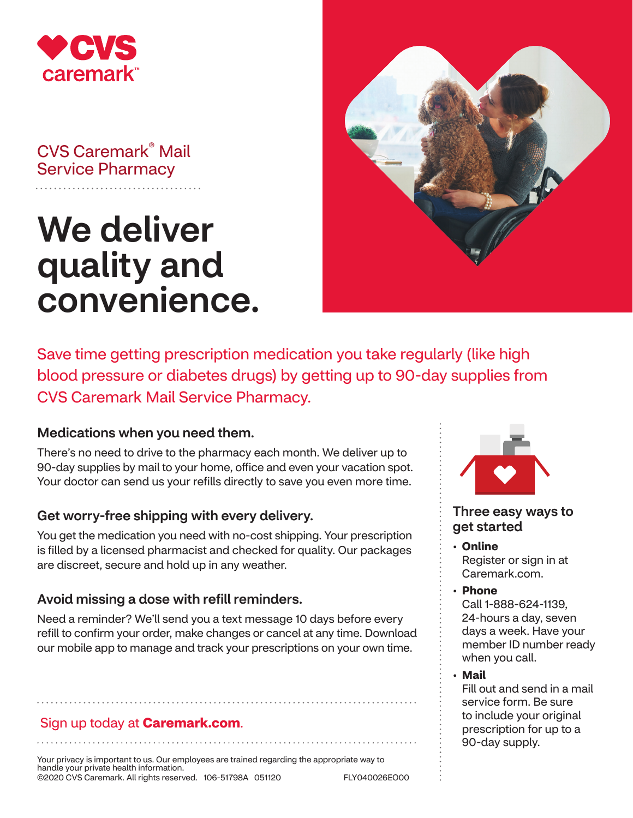

## CVS Caremark® Mail Service Pharmacy

# We deliver quality and convenience.



Save time getting prescription medication you take regularly (like high blood pressure or diabetes drugs) by getting up to 90-day supplies from CVS Caremark Mail Service Pharmacy.

### Medications when you need them.

There's no need to drive to the pharmacy each month. We deliver up to 90-day supplies by mail to your home, office and even your vacation spot. Your doctor can send us your refills directly to save you even more time.

#### Get worry-free shipping with every delivery.

You get the medication you need with no-cost shipping. Your prescription is filled by a licensed pharmacist and checked for quality. Our packages are discreet, secure and hold up in any weather.

#### Avoid missing a dose with refill reminders.

Need a reminder? We'll send you a text message 10 days before every refill to confirm your order, make changes or cancel at any time. Download our mobile app to manage and track your prescriptions on your own time.

#### Sign up today at **Caremark.com**.

Your privacy is important to us. Our employees are trained regarding the appropriate way to handle your private health information. ©2020 CVS Caremark. All rights reserved. 106-51798A 051120 FLY040026EO00



#### Three easy ways to get started

- **Online**  Register or sign in at Caremark.com.
- **Phone**  Call 1-888-624-1139, 24-hours a day, seven days a week. Have your member ID number ready when you call.
- **Mail**

Fill out and send in a mail service form. Be sure to include your original prescription for up to a 90-day supply.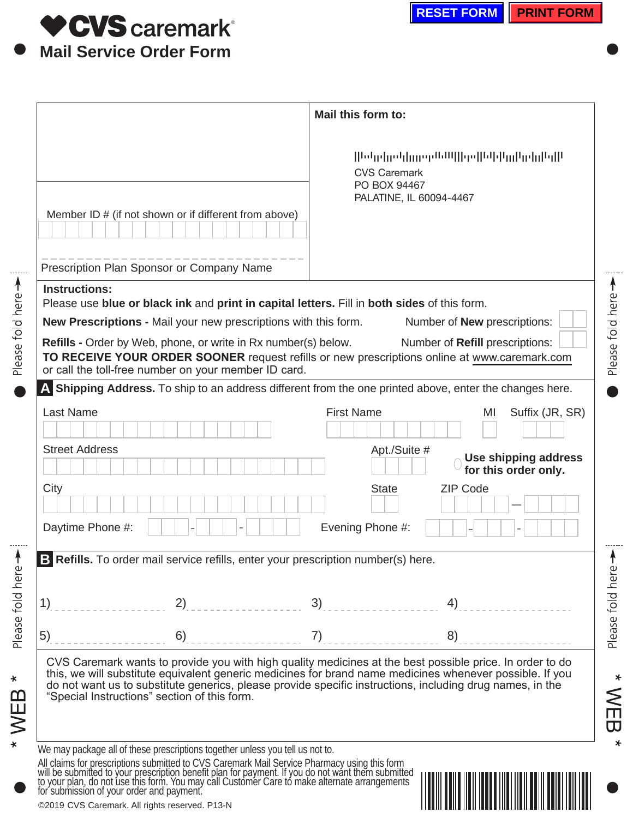

Please fold here

Please fold here

Please fold here

 $*$  WEB  $*$ 

Please fold here -

|                                                                                                                                                                                                                                                                                                                | Mail this form to:                                                                                                                                                                                                                         |
|----------------------------------------------------------------------------------------------------------------------------------------------------------------------------------------------------------------------------------------------------------------------------------------------------------------|--------------------------------------------------------------------------------------------------------------------------------------------------------------------------------------------------------------------------------------------|
| Member ID # (if not shown or if different from above)                                                                                                                                                                                                                                                          | bdg  gdg  megdbW   ge  bl d m  gdg bg  l<br><b>CVS Caremark</b><br>PO BOX 94467<br>PALATINE, IL 60094-4467                                                                                                                                 |
| Prescription Plan Sponsor or Company Name                                                                                                                                                                                                                                                                      |                                                                                                                                                                                                                                            |
| <b>Instructions:</b>                                                                                                                                                                                                                                                                                           |                                                                                                                                                                                                                                            |
| Please use blue or black ink and print in capital letters. Fill in both sides of this form.<br>New Prescriptions - Mail your new prescriptions with this form.                                                                                                                                                 | Number of <b>New</b> prescriptions:                                                                                                                                                                                                        |
| <b>Refills - Order by Web, phone, or write in Rx number(s) below.</b><br>or call the toll-free number on your member ID card.                                                                                                                                                                                  | Number of Refill prescriptions:<br>TO RECEIVE YOUR ORDER SOONER request refills or new prescriptions online at www.caremark.com<br>A Shipping Address. To ship to an address different from the one printed above, enter the changes here. |
| <b>Last Name</b>                                                                                                                                                                                                                                                                                               | <b>First Name</b><br>MI                                                                                                                                                                                                                    |
|                                                                                                                                                                                                                                                                                                                | Suffix (JR, SR)                                                                                                                                                                                                                            |
| <b>Street Address</b>                                                                                                                                                                                                                                                                                          | Apt./Suite #<br>Use shipping address<br>for this order only.                                                                                                                                                                               |
| City                                                                                                                                                                                                                                                                                                           | <b>ZIP Code</b><br><b>State</b><br>$\vert \mathbf{v} \vert$                                                                                                                                                                                |
| Daytime Phone #:                                                                                                                                                                                                                                                                                               | Evening Phone #:                                                                                                                                                                                                                           |
| B Refills. To order mail service refills, enter your prescription number(s) here.                                                                                                                                                                                                                              |                                                                                                                                                                                                                                            |
| 1)<br>2)                                                                                                                                                                                                                                                                                                       | 3)<br>4)                                                                                                                                                                                                                                   |
| 5)<br>6)                                                                                                                                                                                                                                                                                                       | 7)<br>8)                                                                                                                                                                                                                                   |
| do not want us to substitute generics, please provide specific instructions, including drug names, in the<br>"Special Instructions" section of this form.                                                                                                                                                      | CVS Caremark wants to provide you with high quality medicines at the best possible price. In order to do<br>this, we will substitute equivalent generic medicines for brand name medicines whenever possible. If you                       |
| We may package all of these prescriptions together unless you tell us not to.<br>All claims for prescriptions submitted to CVS Caremark Mail Service Pharmacy using this form will be submitted to your prescription benefit plan for payment. If you do not want them submitted to your plan, do not use this |                                                                                                                                                                                                                                            |
|                                                                                                                                                                                                                                                                                                                |                                                                                                                                                                                                                                            |